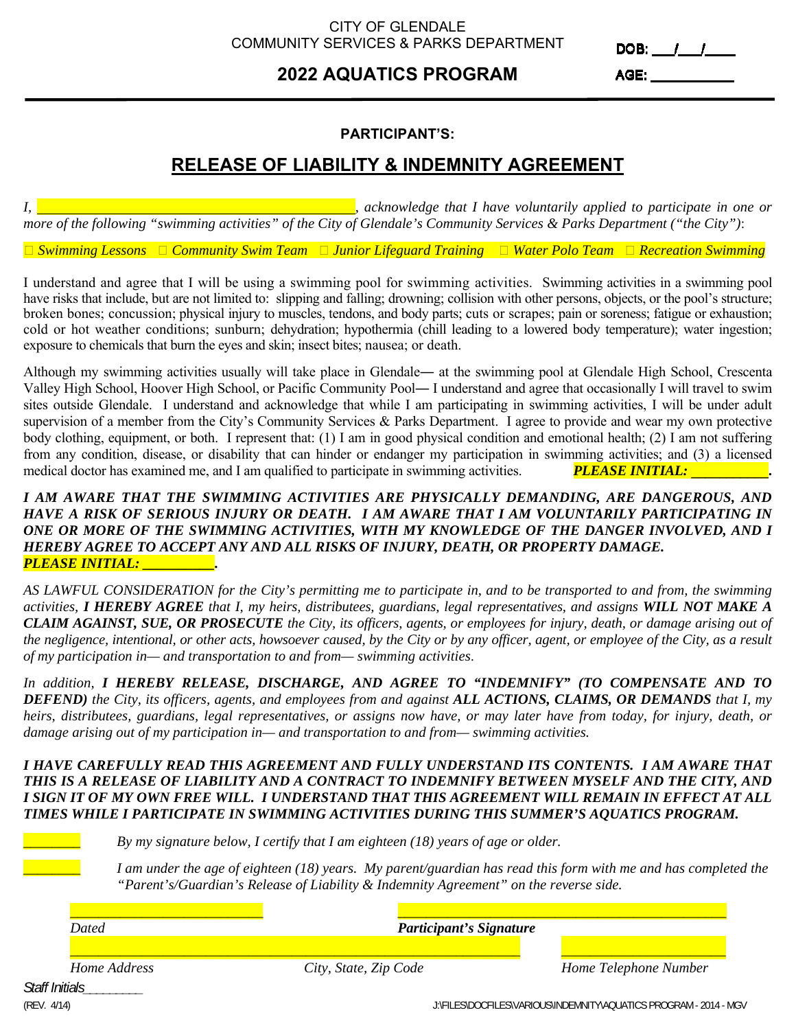### CITY OF GLENDALE COMMUNITY SERVICES & PARKS DEPARTMENT

# **2022 AQUATICS PROGRAM**

DOB:  $11/2$ 

AGE: A CONTROLLER CONTROLLER CONTROLLER

### **PARTICIPANT'S:**

## **RELEASE OF LIABILITY & INDEMNITY AGREEMENT**

*I, , acknowledge that I have voluntarily applied to participate in one or more of the following "swimming activities" of the City of Glendale's Community Services & Parks Department ("the City")*:

*Swimming Lessons Community Swim Team Junior Lifeguard Training Water Polo Team Recreation Swimming* 

I understand and agree that I will be using a swimming pool for swimming activities. Swimming activities in a swimming pool have risks that include, but are not limited to: slipping and falling; drowning; collision with other persons, objects, or the pool's structure; broken bones; concussion; physical injury to muscles, tendons, and body parts; cuts or scrapes; pain or soreness; fatigue or exhaustion; cold or hot weather conditions; sunburn; dehydration; hypothermia (chill leading to a lowered body temperature); water ingestion; exposure to chemicals that burn the eyes and skin; insect bites; nausea; or death.

Although my swimming activities usually will take place in Glendale― at the swimming pool at Glendale High School, Crescenta Valley High School, Hoover High School, or Pacific Community Pool― I understand and agree that occasionally I will travel to swim sites outside Glendale. I understand and acknowledge that while I am participating in swimming activities, I will be under adult supervision of a member from the City's Community Services & Parks Department. I agree to provide and wear my own protective body clothing, equipment, or both. I represent that: (1) I am in good physical condition and emotional health; (2) I am not suffering from any condition, disease, or disability that can hinder or endanger my participation in swimming activities; and (3) a licensed medical doctor has examined me, and I am qualified to participate in swimming activities. *PLEASE INITIAL:* **\_\_\_\_\_\_\_\_\_\_\_.**

### *I AM AWARE THAT THE SWIMMING ACTIVITIES ARE PHYSICALLY DEMANDING, ARE DANGEROUS, AND HAVE A RISK OF SERIOUS INJURY OR DEATH. I AM AWARE THAT I AM VOLUNTARILY PARTICIPATING IN ONE OR MORE OF THE SWIMMING ACTIVITIES, WITH MY KNOWLEDGE OF THE DANGER INVOLVED, AND I HEREBY AGREE TO ACCEPT ANY AND ALL RISKS OF INJURY, DEATH, OR PROPERTY DAMAGE. PLEASE INITIAL: \_\_\_\_\_\_\_\_\_\_.*

*AS LAWFUL CONSIDERATION for the City's permitting me to participate in, and to be transported to and from, the swimming activities, I HEREBY AGREE that I, my heirs, distributees, guardians, legal representatives, and assigns WILL NOT MAKE A CLAIM AGAINST, SUE, OR PROSECUTE the City, its officers, agents, or employees for injury, death, or damage arising out of the negligence, intentional, or other acts, howsoever caused, by the City or by any officer, agent, or employee of the City, as a result of my participation in— and transportation to and from— swimming activities*.

*In addition, I HEREBY RELEASE, DISCHARGE, AND AGREE TO "INDEMNIFY" (TO COMPENSATE AND TO DEFEND) the City, its officers, agents, and employees from and against ALL ACTIONS, CLAIMS, OR DEMANDS that I, my heirs, distributees, guardians, legal representatives, or assigns now have, or may later have from today, for injury, death, or damage arising out of my participation in— and transportation to and from— swimming activities.* 

### *I HAVE CAREFULLY READ THIS AGREEMENT AND FULLY UNDERSTAND ITS CONTENTS. I AM AWARE THAT THIS IS A RELEASE OF LIABILITY AND A CONTRACT TO INDEMNIFY BETWEEN MYSELF AND THE CITY, AND I SIGN IT OF MY OWN FREE WILL. I UNDERSTAND THAT THIS AGREEMENT WILL REMAIN IN EFFECT AT ALL TIMES WHILE I PARTICIPATE IN SWIMMING ACTIVITIES DURING THIS SUMMER'S AQUATICS PROGRAM.*

By my signature below, I certify that I am eighteen (18) years of age or older.

I am under the age of eighteen (18) years. My parent/guardian has read this form with me and has completed the *"Parent's/Guardian's Release of Liability & Indemnity Agreement" on the reverse side.* 

| Dated        | <b>Participant's Signature</b> |                       |
|--------------|--------------------------------|-----------------------|
|              |                                |                       |
| Home Address | City, State, Zip Code          | Home Telephone Number |

*Staff Initials\_\_\_\_\_\_\_\_\_*

(REV. 4/14) J:\FILES\DOCFILES\VARIOUS\INDEMNITY\AQUATICS PROGRAM - 2014 - MGV